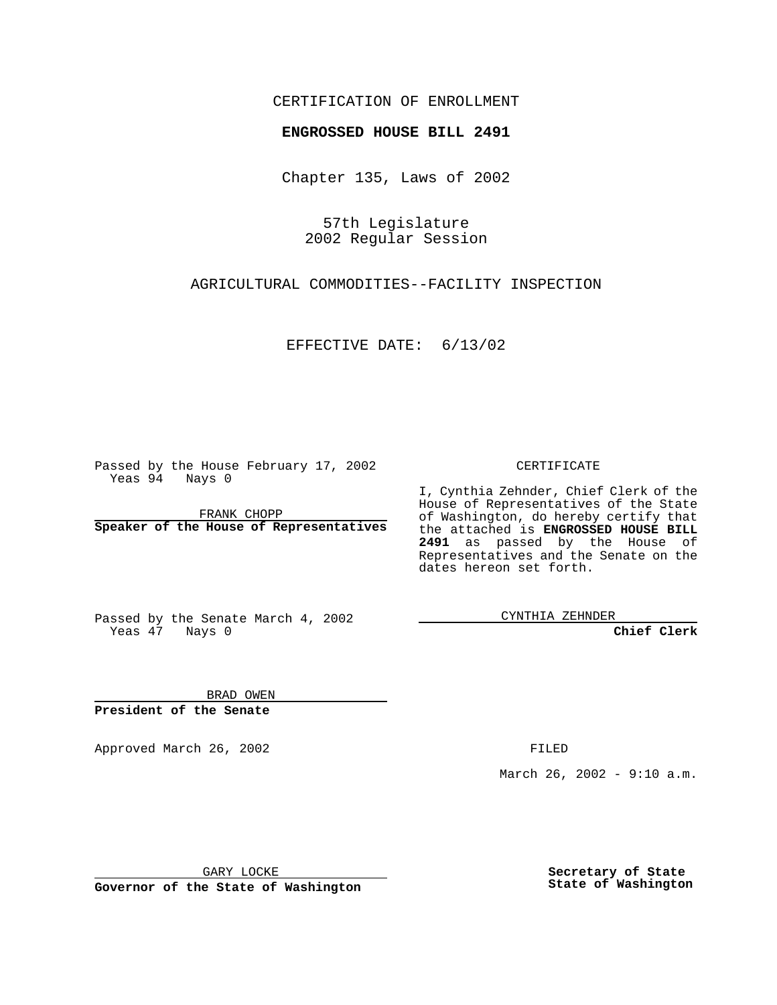## CERTIFICATION OF ENROLLMENT

## **ENGROSSED HOUSE BILL 2491**

Chapter 135, Laws of 2002

57th Legislature 2002 Regular Session

AGRICULTURAL COMMODITIES--FACILITY INSPECTION

EFFECTIVE DATE: 6/13/02

Passed by the House February 17, 2002 Yeas 94 Nays 0

FRANK CHOPP **Speaker of the House of Representatives** CERTIFICATE

I, Cynthia Zehnder, Chief Clerk of the House of Representatives of the State of Washington, do hereby certify that the attached is **ENGROSSED HOUSE BILL 2491** as passed by the House of Representatives and the Senate on the dates hereon set forth.

Passed by the Senate March 4, 2002 Yeas 47 Nays 0

CYNTHIA ZEHNDER

**Chief Clerk**

BRAD OWEN **President of the Senate**

Approved March 26, 2002 **FILED** 

March 26, 2002 - 9:10 a.m.

GARY LOCKE

**Governor of the State of Washington**

**Secretary of State State of Washington**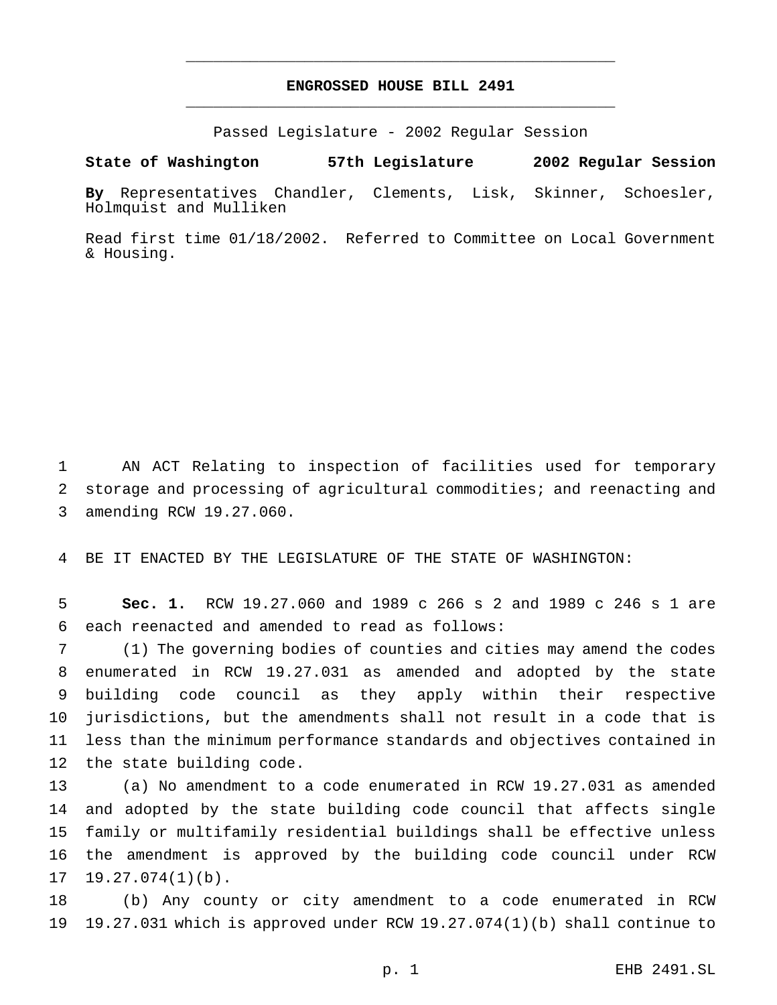## **ENGROSSED HOUSE BILL 2491** \_\_\_\_\_\_\_\_\_\_\_\_\_\_\_\_\_\_\_\_\_\_\_\_\_\_\_\_\_\_\_\_\_\_\_\_\_\_\_\_\_\_\_\_\_\_\_

\_\_\_\_\_\_\_\_\_\_\_\_\_\_\_\_\_\_\_\_\_\_\_\_\_\_\_\_\_\_\_\_\_\_\_\_\_\_\_\_\_\_\_\_\_\_\_

Passed Legislature - 2002 Regular Session

## **State of Washington 57th Legislature 2002 Regular Session**

**By** Representatives Chandler, Clements, Lisk, Skinner, Schoesler, Holmquist and Mulliken

Read first time 01/18/2002. Referred to Committee on Local Government & Housing.

 AN ACT Relating to inspection of facilities used for temporary storage and processing of agricultural commodities; and reenacting and amending RCW 19.27.060.

BE IT ENACTED BY THE LEGISLATURE OF THE STATE OF WASHINGTON:

 **Sec. 1.** RCW 19.27.060 and 1989 c 266 s 2 and 1989 c 246 s 1 are each reenacted and amended to read as follows:

 (1) The governing bodies of counties and cities may amend the codes enumerated in RCW 19.27.031 as amended and adopted by the state building code council as they apply within their respective jurisdictions, but the amendments shall not result in a code that is less than the minimum performance standards and objectives contained in the state building code.

 (a) No amendment to a code enumerated in RCW 19.27.031 as amended and adopted by the state building code council that affects single family or multifamily residential buildings shall be effective unless the amendment is approved by the building code council under RCW 19.27.074(1)(b).

 (b) Any county or city amendment to a code enumerated in RCW 19.27.031 which is approved under RCW 19.27.074(1)(b) shall continue to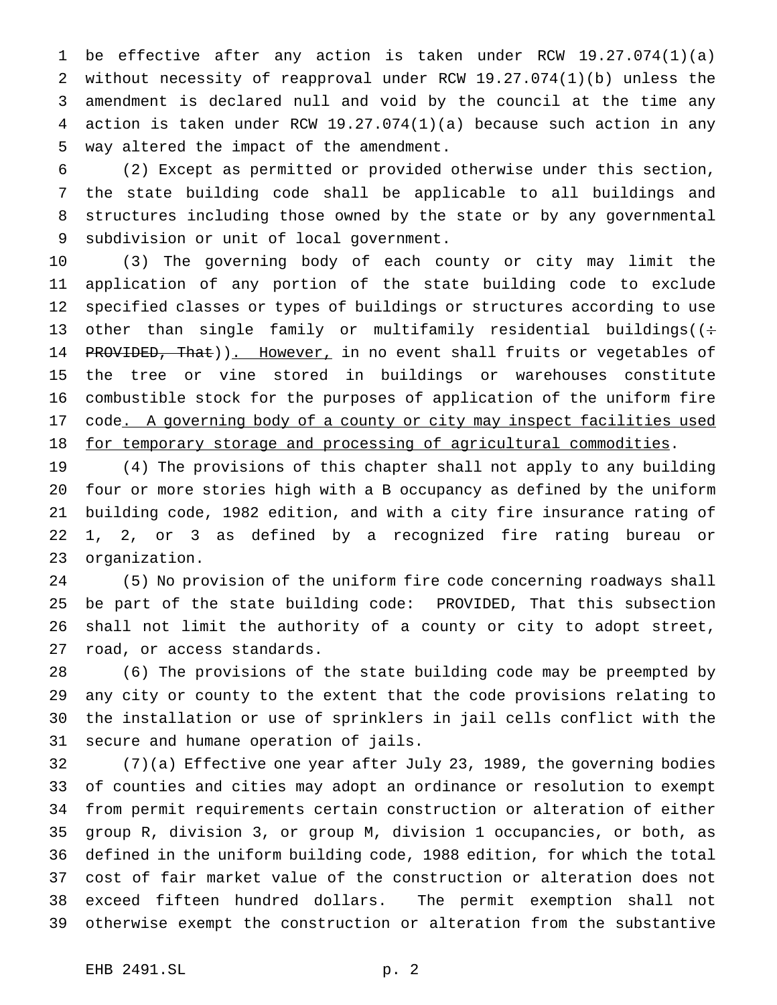be effective after any action is taken under RCW 19.27.074(1)(a) without necessity of reapproval under RCW 19.27.074(1)(b) unless the amendment is declared null and void by the council at the time any action is taken under RCW 19.27.074(1)(a) because such action in any way altered the impact of the amendment.

 (2) Except as permitted or provided otherwise under this section, the state building code shall be applicable to all buildings and structures including those owned by the state or by any governmental subdivision or unit of local government.

 (3) The governing body of each county or city may limit the application of any portion of the state building code to exclude specified classes or types of buildings or structures according to use 13 other than single family or multifamily residential buildings( $($ : 14 PROVIDED, That)). However, in no event shall fruits or vegetables of the tree or vine stored in buildings or warehouses constitute combustible stock for the purposes of application of the uniform fire 17 code. A governing body of a county or city may inspect facilities used 18 for temporary storage and processing of agricultural commodities.

 (4) The provisions of this chapter shall not apply to any building four or more stories high with a B occupancy as defined by the uniform building code, 1982 edition, and with a city fire insurance rating of 1, 2, or 3 as defined by a recognized fire rating bureau or organization.

 (5) No provision of the uniform fire code concerning roadways shall be part of the state building code: PROVIDED, That this subsection shall not limit the authority of a county or city to adopt street, road, or access standards.

 (6) The provisions of the state building code may be preempted by any city or county to the extent that the code provisions relating to the installation or use of sprinklers in jail cells conflict with the secure and humane operation of jails.

 (7)(a) Effective one year after July 23, 1989, the governing bodies of counties and cities may adopt an ordinance or resolution to exempt from permit requirements certain construction or alteration of either group R, division 3, or group M, division 1 occupancies, or both, as defined in the uniform building code, 1988 edition, for which the total cost of fair market value of the construction or alteration does not exceed fifteen hundred dollars. The permit exemption shall not otherwise exempt the construction or alteration from the substantive